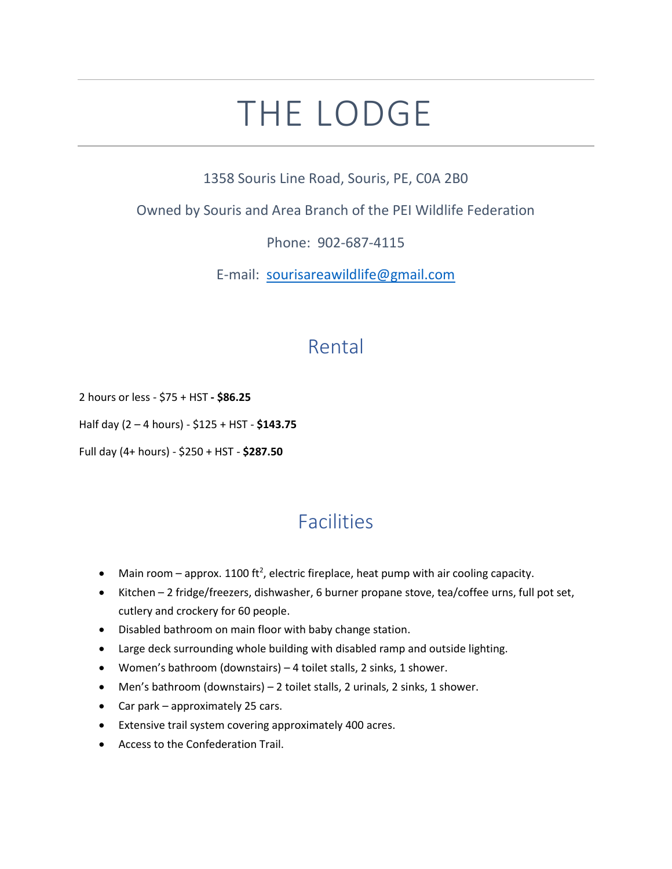## THE LODGE

1358 Souris Line Road, Souris, PE, C0A 2B0

Owned by Souris and Area Branch of the PEI Wildlife Federation

Phone: 902-687-4115

E-mail: [sourisareawildlife@gmail.com](mailto:sourisareawildlife@gmail.com)

## Rental

2 hours or less - \$75 + HST **- \$86.25**

Half day (2 – 4 hours) - \$125 + HST - **\$143.75**

Full day (4+ hours) - \$250 + HST - **\$287.50**

## Facilities

- Main room approx. 1100 ft<sup>2</sup>, electric fireplace, heat pump with air cooling capacity.
- Kitchen 2 fridge/freezers, dishwasher, 6 burner propane stove, tea/coffee urns, full pot set, cutlery and crockery for 60 people.
- Disabled bathroom on main floor with baby change station.
- Large deck surrounding whole building with disabled ramp and outside lighting.
- Women's bathroom (downstairs) 4 toilet stalls, 2 sinks, 1 shower.
- Men's bathroom (downstairs) 2 toilet stalls, 2 urinals, 2 sinks, 1 shower.
- Car park approximately 25 cars.
- Extensive trail system covering approximately 400 acres.
- Access to the Confederation Trail.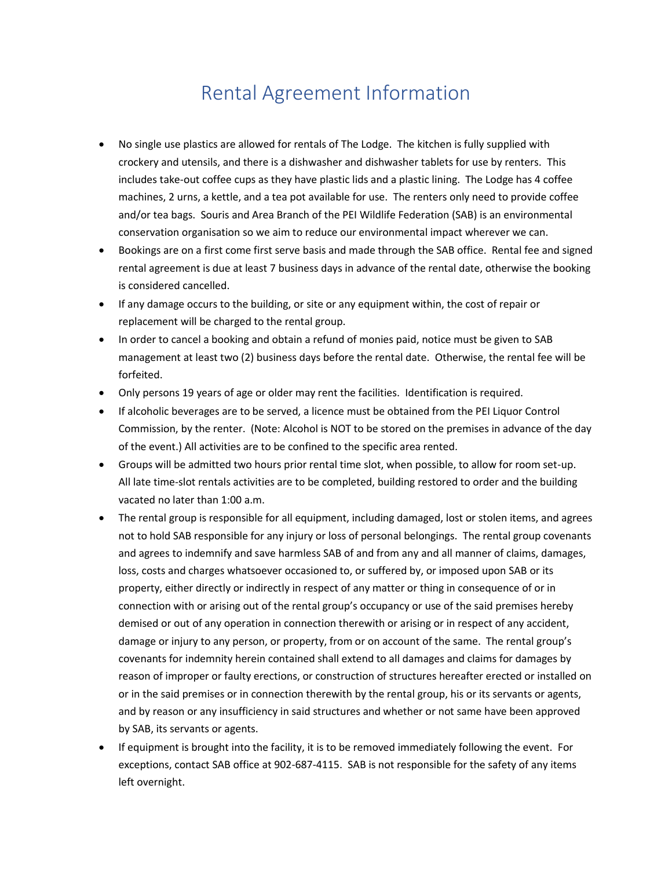## Rental Agreement Information

- No single use plastics are allowed for rentals of The Lodge. The kitchen is fully supplied with crockery and utensils, and there is a dishwasher and dishwasher tablets for use by renters. This includes take-out coffee cups as they have plastic lids and a plastic lining. The Lodge has 4 coffee machines, 2 urns, a kettle, and a tea pot available for use. The renters only need to provide coffee and/or tea bags. Souris and Area Branch of the PEI Wildlife Federation (SAB) is an environmental conservation organisation so we aim to reduce our environmental impact wherever we can.
- Bookings are on a first come first serve basis and made through the SAB office. Rental fee and signed rental agreement is due at least 7 business days in advance of the rental date, otherwise the booking is considered cancelled.
- If any damage occurs to the building, or site or any equipment within, the cost of repair or replacement will be charged to the rental group.
- In order to cancel a booking and obtain a refund of monies paid, notice must be given to SAB management at least two (2) business days before the rental date. Otherwise, the rental fee will be forfeited.
- Only persons 19 years of age or older may rent the facilities. Identification is required.
- If alcoholic beverages are to be served, a licence must be obtained from the PEI Liquor Control Commission, by the renter. (Note: Alcohol is NOT to be stored on the premises in advance of the day of the event.) All activities are to be confined to the specific area rented.
- Groups will be admitted two hours prior rental time slot, when possible, to allow for room set-up. All late time-slot rentals activities are to be completed, building restored to order and the building vacated no later than 1:00 a.m.
- The rental group is responsible for all equipment, including damaged, lost or stolen items, and agrees not to hold SAB responsible for any injury or loss of personal belongings. The rental group covenants and agrees to indemnify and save harmless SAB of and from any and all manner of claims, damages, loss, costs and charges whatsoever occasioned to, or suffered by, or imposed upon SAB or its property, either directly or indirectly in respect of any matter or thing in consequence of or in connection with or arising out of the rental group's occupancy or use of the said premises hereby demised or out of any operation in connection therewith or arising or in respect of any accident, damage or injury to any person, or property, from or on account of the same. The rental group's covenants for indemnity herein contained shall extend to all damages and claims for damages by reason of improper or faulty erections, or construction of structures hereafter erected or installed on or in the said premises or in connection therewith by the rental group, his or its servants or agents, and by reason or any insufficiency in said structures and whether or not same have been approved by SAB, its servants or agents.
- If equipment is brought into the facility, it is to be removed immediately following the event. For exceptions, contact SAB office at 902-687-4115. SAB is not responsible for the safety of any items left overnight.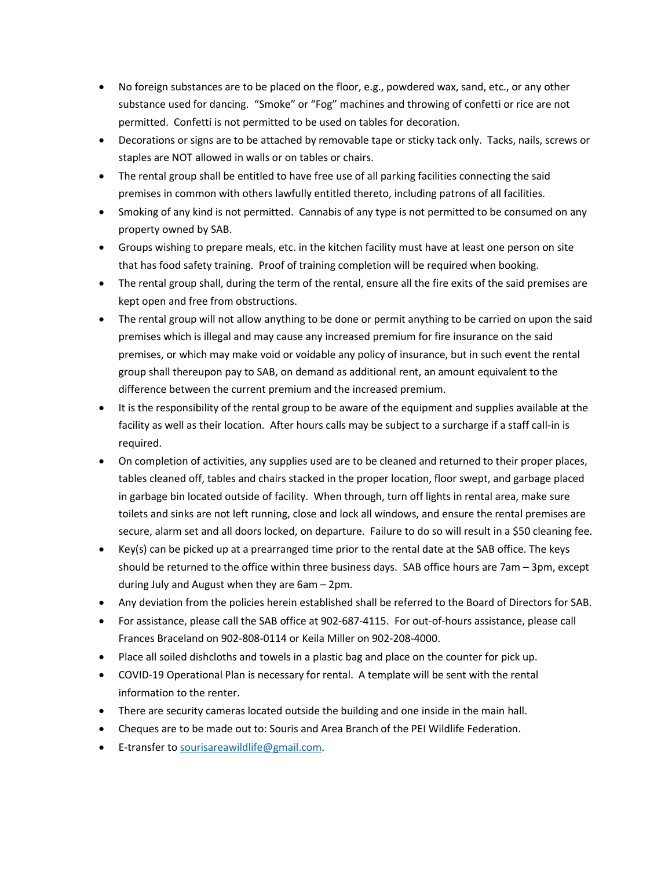- No foreign substances are to be placed on the floor, e.g., powdered wax, sand, etc., or any other substance used for dancing. "Smoke" or "Fog" machines and throwing of confetti or rice are not permitted. Confetti is not permitted to be used on tables for decoration.
- Decorations or signs are to be attached by removable tape or sticky tack only. Tacks, nails, screws or staples are NOT allowed in walls or on tables or chairs.
- The rental group shall be entitled to have free use of all parking facilities connecting the said premises in common with others lawfully entitled thereto, including patrons of all facilities.
- Smoking of any kind is not permitted. Cannabis of any type is not permitted to be consumed on any property owned by SAB.
- Groups wishing to prepare meals, etc. in the kitchen facility must have at least one person on site that has food safety training. Proof of training completion will be required when booking.
- The rental group shall, during the term of the rental, ensure all the fire exits of the said premises are kept open and free from obstructions.
- The rental group will not allow anything to be done or permit anything to be carried on upon the said premises which is illegal and may cause any increased premium for fire insurance on the said premises, or which may make void or voidable any policy of insurance, but in such event the rental group shall thereupon pay to SAB, on demand as additional rent, an amount equivalent to the difference between the current premium and the increased premium.
- It is the responsibility of the rental group to be aware of the equipment and supplies available at the facility as well as their location. After hours calls may be subject to a surcharge if a staff call-in is required.
- On completion of activities, any supplies used are to be cleaned and returned to their proper places, tables cleaned off, tables and chairs stacked in the proper location, floor swept, and garbage placed in garbage bin located outside of facility. When through, turn off lights in rental area, make sure toilets and sinks are not left running, close and lock all windows, and ensure the rental premises are secure, alarm set and all doors locked, on departure. Failure to do so will result in a \$50 cleaning fee.
- Key(s) can be picked up at a prearranged time prior to the rental date at the SAB office. The keys should be returned to the office within three business days. SAB office hours are 7am – 3pm, except during July and August when they are 6am – 2pm.
- Any deviation from the policies herein established shall be referred to the Board of Directors for SAB.
- For assistance, please call the SAB office at 902-687-4115. For out-of-hours assistance, please call Frances Braceland on 902-808-0114 or Keila Miller on 902-208-4000.
- Place all soiled dishcloths and towels in a plastic bag and place on the counter for pick up.
- COVID-19 Operational Plan is necessary for rental. A template will be sent with the rental information to the renter.
- There are security cameras located outside the building and one inside in the main hall.
- Cheques are to be made out to: Souris and Area Branch of the PEI Wildlife Federation.
- E-transfer to [sourisareawildlife@gmail.com.](mailto:sourisareawildlife@gmail.com)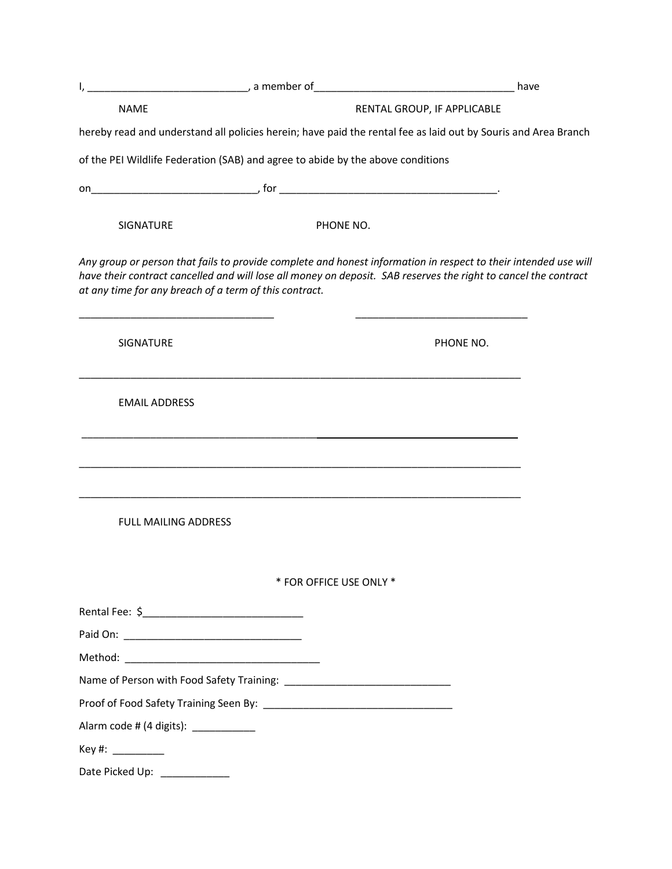|                                       | <u> 1989 - Johann John Harry Harry Harry Harry Harry Harry Harry Harry Harry Harry Harry Harry Harry Harry Harry Harry Harry Harry Harry Harry Harry Harry Harry Harry Harry Harry Harry Harry Harry Harry Harry Harry Harry Har</u> |                                                                                                                                                                                                                                    | have |
|---------------------------------------|--------------------------------------------------------------------------------------------------------------------------------------------------------------------------------------------------------------------------------------|------------------------------------------------------------------------------------------------------------------------------------------------------------------------------------------------------------------------------------|------|
| <b>NAME</b>                           |                                                                                                                                                                                                                                      | RENTAL GROUP, IF APPLICABLE                                                                                                                                                                                                        |      |
|                                       |                                                                                                                                                                                                                                      | hereby read and understand all policies herein; have paid the rental fee as laid out by Souris and Area Branch                                                                                                                     |      |
|                                       | of the PEI Wildlife Federation (SAB) and agree to abide by the above conditions                                                                                                                                                      |                                                                                                                                                                                                                                    |      |
|                                       |                                                                                                                                                                                                                                      |                                                                                                                                                                                                                                    |      |
| <b>SIGNATURE</b>                      |                                                                                                                                                                                                                                      | PHONE NO.                                                                                                                                                                                                                          |      |
|                                       | at any time for any breach of a term of this contract.                                                                                                                                                                               | Any group or person that fails to provide complete and honest information in respect to their intended use will<br>have their contract cancelled and will lose all money on deposit. SAB reserves the right to cancel the contract |      |
| SIGNATURE                             |                                                                                                                                                                                                                                      | PHONE NO.                                                                                                                                                                                                                          |      |
| <b>EMAIL ADDRESS</b>                  |                                                                                                                                                                                                                                      |                                                                                                                                                                                                                                    |      |
|                                       |                                                                                                                                                                                                                                      |                                                                                                                                                                                                                                    |      |
| <b>FULL MAILING ADDRESS</b>           |                                                                                                                                                                                                                                      |                                                                                                                                                                                                                                    |      |
|                                       |                                                                                                                                                                                                                                      | * FOR OFFICE USE ONLY *                                                                                                                                                                                                            |      |
|                                       |                                                                                                                                                                                                                                      |                                                                                                                                                                                                                                    |      |
|                                       |                                                                                                                                                                                                                                      |                                                                                                                                                                                                                                    |      |
|                                       |                                                                                                                                                                                                                                      |                                                                                                                                                                                                                                    |      |
|                                       |                                                                                                                                                                                                                                      |                                                                                                                                                                                                                                    |      |
|                                       |                                                                                                                                                                                                                                      |                                                                                                                                                                                                                                    |      |
| Alarm code # (4 digits): ____________ |                                                                                                                                                                                                                                      |                                                                                                                                                                                                                                    |      |
| Key #: ___________                    |                                                                                                                                                                                                                                      |                                                                                                                                                                                                                                    |      |
| Date Picked Up: ____________          |                                                                                                                                                                                                                                      |                                                                                                                                                                                                                                    |      |
|                                       |                                                                                                                                                                                                                                      |                                                                                                                                                                                                                                    |      |